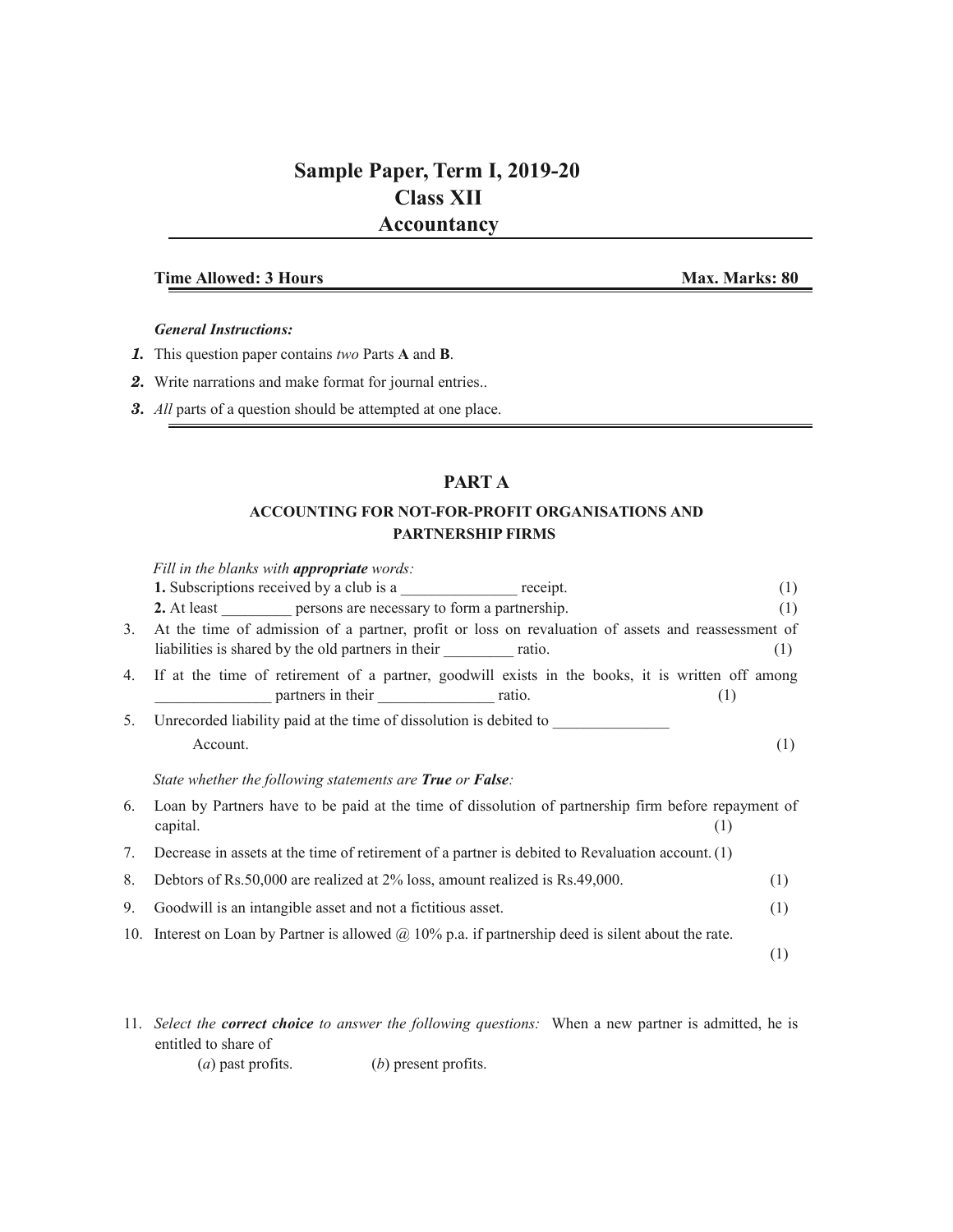# **Sample Paper, Term I, 2019-20 Class XII Accountancy**

### **Time Allowed: 3 Hours Max. Marks: 80**

#### *General Instructions:*

- *1.* This question paper contains *two* Parts **A** and **B**.
- *2.* Write narrations and make format for journal entries..
- *3. All* parts of a question should be attempted at one place.

## **PART A**

### **ACCOUNTING FOR NOT-FOR-PROFIT ORGANISATIONS AND PARTNERSHIP FIRMS**

|    | Fill in the blanks with <b>appropriate</b> words:                                                                                                                                 |     |
|----|-----------------------------------------------------------------------------------------------------------------------------------------------------------------------------------|-----|
|    | <b>1.</b> Subscriptions received by a club is a receipt.                                                                                                                          | (1) |
|    | 2. At least persons are necessary to form a partnership.                                                                                                                          | (1) |
| 3. | At the time of admission of a partner, profit or loss on revaluation of assets and reassessment of<br>liabilities is shared by the old partners in their _________________ ratio. | (1) |
| 4. | If at the time of retirement of a partner, goodwill exists in the books, it is written off among<br>(1)                                                                           |     |
| 5. | Unrecorded liability paid at the time of dissolution is debited to                                                                                                                |     |
|    | Account.                                                                                                                                                                          | (1) |
|    | State whether the following statements are True or False:                                                                                                                         |     |
| 6. | Loan by Partners have to be paid at the time of dissolution of partnership firm before repayment of<br>capital.<br>(1)                                                            |     |
| 7. | Decrease in assets at the time of retirement of a partner is debited to Revaluation account. (1)                                                                                  |     |
| 8. | Debtors of Rs.50,000 are realized at 2% loss, amount realized is Rs.49,000.                                                                                                       | (1) |
| 9. | Goodwill is an intangible asset and not a fictitious asset.                                                                                                                       | (1) |
|    | 10. Interest on Loan by Partner is allowed $\omega$ 10% p.a. if partnership deed is silent about the rate.                                                                        |     |
|    |                                                                                                                                                                                   | (1) |
|    |                                                                                                                                                                                   |     |

- 11. *Select the correct choice to answer the following questions:* When a new partner is admitted, he is entitled to share of
	- (*a*) past profits. (*b*) present profits.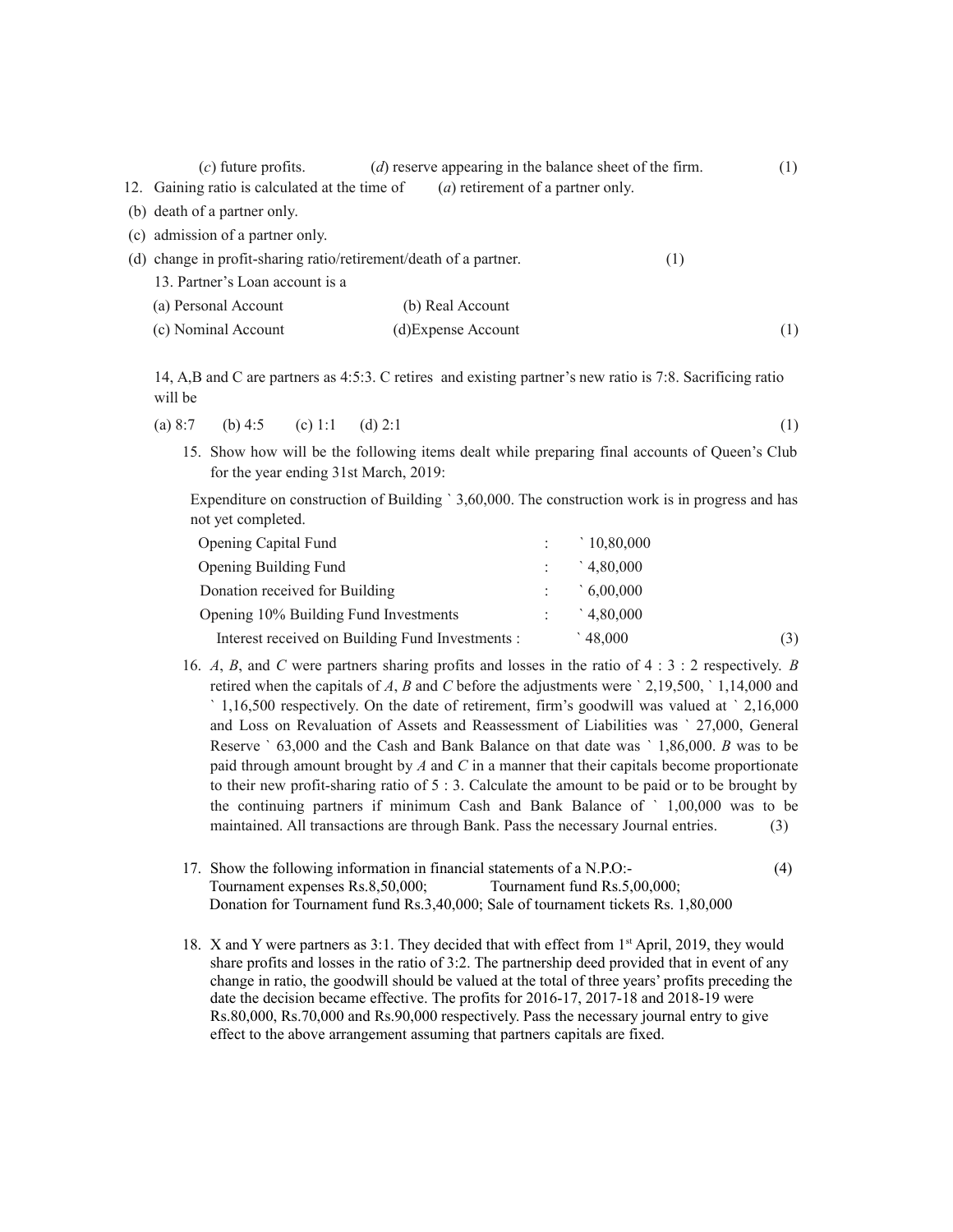| $(c)$ future profits.                                             | $(d)$ reserve appearing in the balance sheet of the firm. |     | (1) |
|-------------------------------------------------------------------|-----------------------------------------------------------|-----|-----|
| 12. Gaining ratio is calculated at the time of                    | ( <i>a</i> ) retirement of a partner only.                |     |     |
| (b) death of a partner only.                                      |                                                           |     |     |
| (c) admission of a partner only.                                  |                                                           |     |     |
| (d) change in profit-sharing ratio/retirement/death of a partner. |                                                           | (1) |     |
| 13. Partner's Loan account is a                                   |                                                           |     |     |
| (a) Personal Account                                              | (b) Real Account                                          |     |     |
| (c) Nominal Account                                               | (d) Expense Account                                       |     |     |

14, A,B and C are partners as 4:5:3. C retires and existing partner's new ratio is 7:8. Sacrificing ratio will be

(a) 8:7 (b) 4:5 (c) 1:1 (d) 2:1 (1)

15. Show how will be the following items dealt while preparing final accounts of Queen's Club for the year ending 31st March, 2019:

Expenditure on construction of Building ` 3,60,000. The construction work is in progress and has not yet completed.

| Opening Capital Fund                             | 10,80,000 |     |
|--------------------------------------------------|-----------|-----|
| Opening Building Fund                            | 4,80,000  |     |
| Donation received for Building                   | 6,00,000  |     |
| Opening 10% Building Fund Investments            | 4,80,000  |     |
| Interest received on Building Fund Investments : | 48,000    | (3) |

- 16. *A*, *B*, and *C* were partners sharing profits and losses in the ratio of 4 : 3 : 2 respectively. *B* retired when the capitals of *A*, *B* and *C* before the adjustments were ` 2,19,500, ` 1,14,000 and ` 1,16,500 respectively. On the date of retirement, firm's goodwill was valued at ` 2,16,000 and Loss on Revaluation of Assets and Reassessment of Liabilities was ` 27,000, General Reserve ` 63,000 and the Cash and Bank Balance on that date was ` 1,86,000. *B* was to be paid through amount brought by *A* and *C* in a manner that their capitals become proportionate to their new profit-sharing ratio of 5 : 3. Calculate the amount to be paid or to be brought by the continuing partners if minimum Cash and Bank Balance of ` 1,00,000 was to be maintained. All transactions are through Bank. Pass the necessary Journal entries. (3)
- 17. Show the following information in financial statements of a N.P.O:- (4) Tournament expenses Rs.8,50,000; Tournament fund Rs.5,00,000; Donation for Tournament fund Rs.3,40,000; Sale of tournament tickets Rs. 1,80,000
- 18. X and Y were partners as 3:1. They decided that with effect from 1<sup>st</sup> April, 2019, they would share profits and losses in the ratio of 3:2. The partnership deed provided that in event of any change in ratio, the goodwill should be valued at the total of three years' profits preceding the date the decision became effective. The profits for 2016-17, 2017-18 and 2018-19 were Rs.80,000, Rs.70,000 and Rs.90,000 respectively. Pass the necessary journal entry to give effect to the above arrangement assuming that partners capitals are fixed.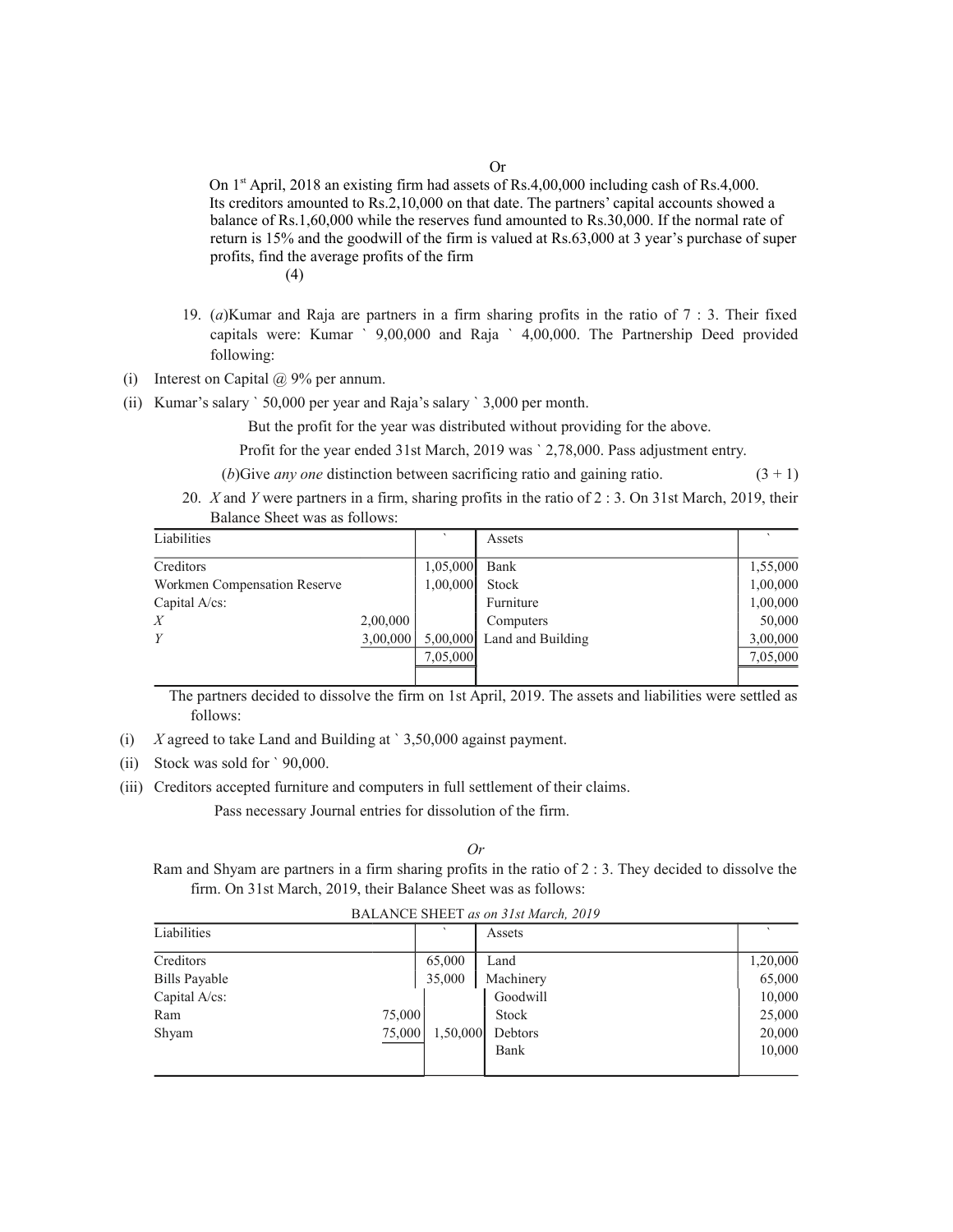Or

On  $1<sup>st</sup>$  April, 2018 an existing firm had assets of Rs.4,00,000 including cash of Rs.4,000. Its creditors amounted to Rs.2,10,000 on that date. The partners' capital accounts showed a balance of Rs.1,60,000 while the reserves fund amounted to Rs.30,000. If the normal rate of return is 15% and the goodwill of the firm is valued at Rs.63,000 at 3 year's purchase of super profits, find the average profits of the firm (4)

- 19. (*a*)Kumar and Raja are partners in a firm sharing profits in the ratio of 7 : 3. Their fixed capitals were: Kumar ` 9,00,000 and Raja ` 4,00,000. The Partnership Deed provided following:
- (i) Interest on Capital  $\omega$  9% per annum.
- (ii) Kumar's salary ` 50,000 per year and Raja's salary ` 3,000 per month.

But the profit for the year was distributed without providing for the above.

Profit for the year ended 31st March, 2019 was ` 2,78,000. Pass adjustment entry.

- (*b*)Give *any one* distinction between sacrificing ratio and gaining ratio.  $(3 + 1)$
- 20. *X* and *Y* were partners in a firm, sharing profits in the ratio of 2 : 3. On 31st March, 2019, their Balance Sheet was as follows:

| Liabilities                  |          |          | Assets            |          |
|------------------------------|----------|----------|-------------------|----------|
| Creditors                    |          | 1,05,000 | Bank              | 1,55,000 |
| Workmen Compensation Reserve |          | 1,00,000 | <b>Stock</b>      | 1,00,000 |
| Capital $A$ / $cs$ :         |          |          | Furniture         | 1,00,000 |
| X                            | 2,00,000 |          | Computers         | 50,000   |
| Y                            | 3,00,000 | 5,00,000 | Land and Building | 3,00,000 |
|                              |          | 7,05,000 |                   | 7,05,000 |
|                              |          |          |                   |          |

 The partners decided to dissolve the firm on 1st April, 2019. The assets and liabilities were settled as follows:

- (i) *X* agreed to take Land and Building at ` 3,50,000 against payment.
- (ii) Stock was sold for ` 90,000.
- (iii) Creditors accepted furniture and computers in full settlement of their claims.

Pass necessary Journal entries for dissolution of the firm.

*Or*

Ram and Shyam are partners in a firm sharing profits in the ratio of 2 : 3. They decided to dissolve the firm. On 31st March, 2019, their Balance Sheet was as follows:

BALANCE SHEET *as on 31st March, 2019*

| Liabilities          |        |          | Assets    |          |
|----------------------|--------|----------|-----------|----------|
| Creditors            |        | 65,000   | Land      | 1,20,000 |
| <b>Bills Payable</b> |        | 35,000   | Machinery | 65,000   |
| Capital A/cs:        |        |          | Goodwill  | 10,000   |
| Ram                  | 75,000 |          | Stock     | 25,000   |
| Shyam                | 75,000 | 1,50,000 | Debtors   | 20,000   |
|                      |        |          | Bank      | 10,000   |
|                      |        |          |           |          |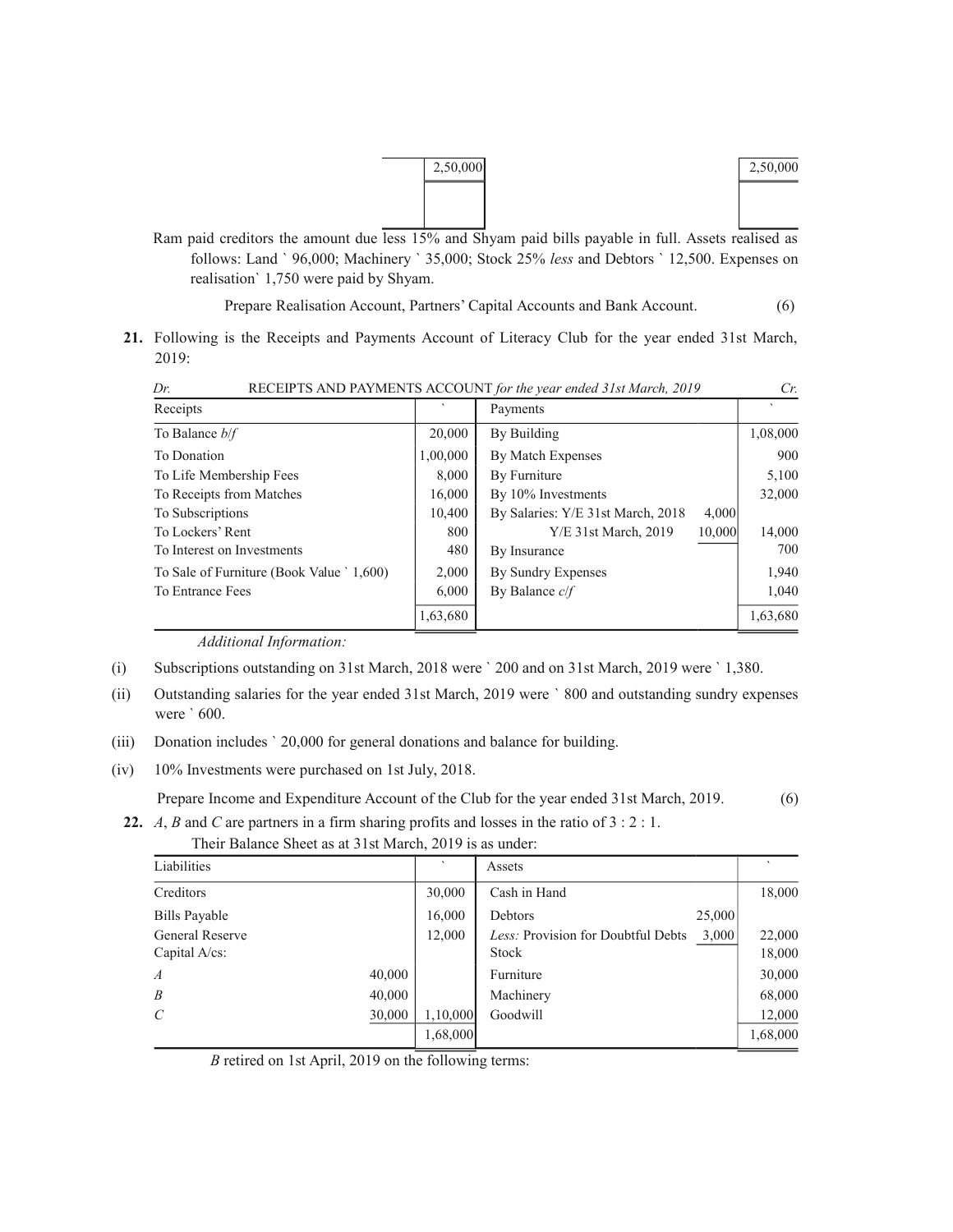

Ram paid creditors the amount due less 15% and Shyam paid bills payable in full. Assets realised as follows: Land ` 96,000; Machinery ` 35,000; Stock 25% *less* and Debtors ` 12,500. Expenses on realisation` 1,750 were paid by Shyam.

Prepare Realisation Account, Partners' Capital Accounts and Bank Account. (6)

**21.** Following is the Receipts and Payments Account of Literacy Club for the year ended 31st March, 2019:

| $L^r$ .<br>RECEIF 13 AND FATIMENTS ACCOUNT for the year ended 31st March, 2019 |          |                                   |          |
|--------------------------------------------------------------------------------|----------|-----------------------------------|----------|
| Receipts                                                                       |          | Payments                          |          |
| To Balance $b/f$                                                               | 20,000   | By Building                       | 1,08,000 |
| To Donation                                                                    | 1,00,000 | By Match Expenses                 | 900      |
| To Life Membership Fees                                                        | 8.000    | By Furniture                      | 5,100    |
| To Receipts from Matches                                                       | 16.000   | By 10% Investments                | 32,000   |
| To Subscriptions                                                               | 10.400   | By Salaries: Y/E 31st March, 2018 | 4,000    |
| To Lockers' Rent                                                               | 800      | $Y/E$ 31st March, 2019<br>10,000  | 14,000   |
| To Interest on Investments                                                     | 480      | By Insurance                      | 700      |
| To Sale of Furniture (Book Value ` 1,600)                                      | 2,000    | By Sundry Expenses                | 1,940    |
| To Entrance Fees                                                               | 6.000    | By Balance $c/f$                  | 1,040    |
|                                                                                | 1,63,680 |                                   | 1,63,680 |

| Dr. | RECEIPTS AND PAYMENTS ACCOUNT for the year ended 31st March, 2019 |  |
|-----|-------------------------------------------------------------------|--|
|     |                                                                   |  |

*Additional Information:*

(i) Subscriptions outstanding on 31st March, 2018 were ` 200 and on 31st March, 2019 were ` 1,380.

- (ii) Outstanding salaries for the year ended 31st March, 2019 were ` 800 and outstanding sundry expenses were ` 600.
- (iii) Donation includes ` 20,000 for general donations and balance for building.
- (iv) 10% Investments were purchased on 1st July, 2018.

Prepare Income and Expenditure Account of the Club for the year ended 31st March, 2019. (6)

**22.** *A*, *B* and *C* are partners in a firm sharing profits and losses in the ratio of 3 : 2 : 1.

| Liabilities                             |        | $\cdot$  | Assets                                                      |                  |
|-----------------------------------------|--------|----------|-------------------------------------------------------------|------------------|
| Creditors                               |        | 30,000   | Cash in Hand                                                | 18,000           |
| Bills Payable                           |        | 16,000   | 25,000<br>Debtors                                           |                  |
| <b>General Reserve</b><br>Capital A/cs: |        | 12,000   | Less: Provision for Doubtful Debts<br>3,000<br><b>Stock</b> | 22,000<br>18,000 |
| $\overline{A}$                          | 40,000 |          | Furniture                                                   | 30,000           |
| $\boldsymbol{B}$                        | 40,000 |          | Machinery                                                   | 68,000           |
| $\mathcal{C}_{0}^{0}$                   | 30,000 | 1,10,000 | Goodwill                                                    | 12,000           |
|                                         |        | 1,68,000 |                                                             | 1,68,000         |

Their Balance Sheet as at 31st March, 2019 is as under:

*B* retired on 1st April, 2019 on the following terms: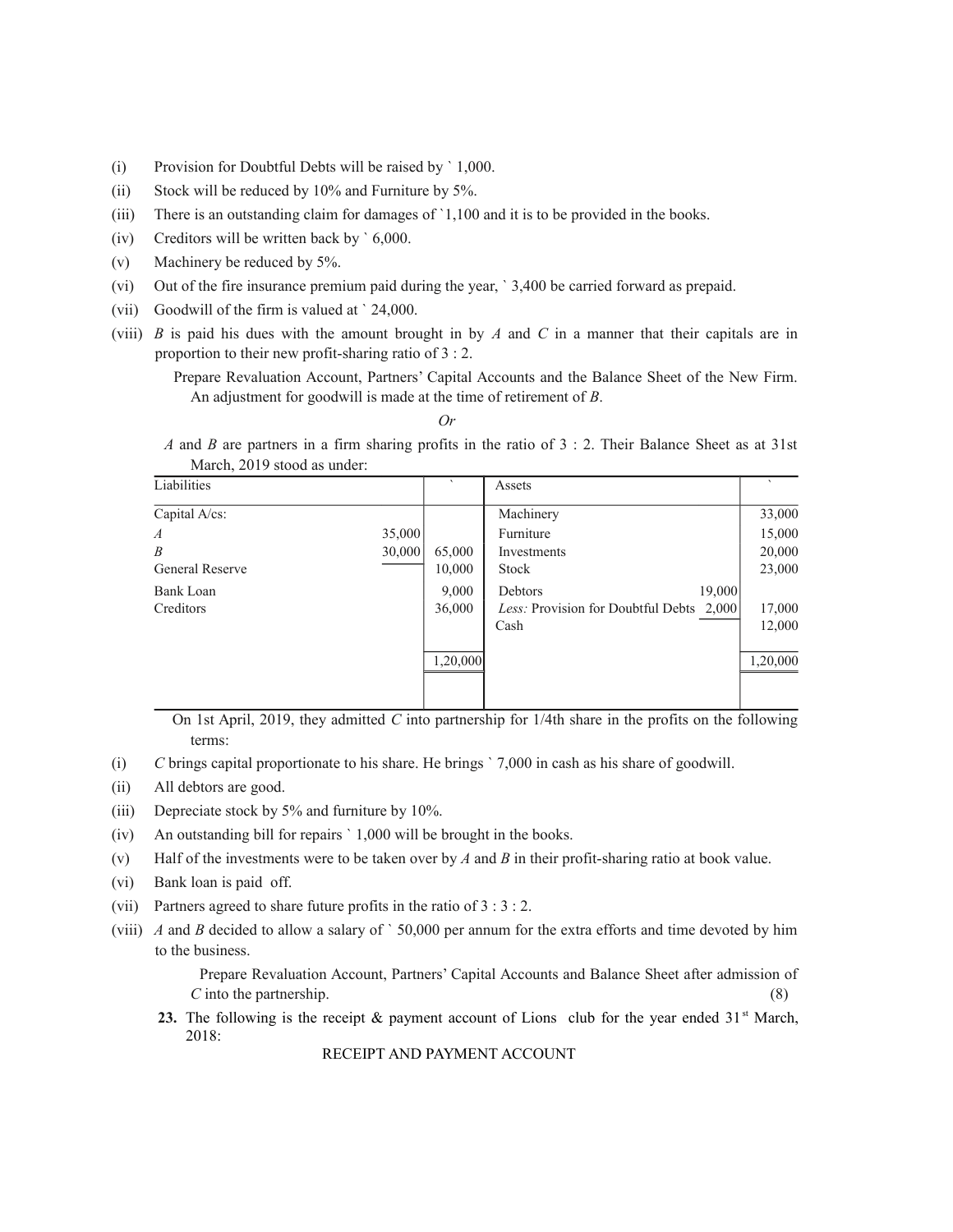- (i) Provision for Doubtful Debts will be raised by ` 1,000.
- (ii) Stock will be reduced by 10% and Furniture by 5%.
- (iii) There is an outstanding claim for damages of `1,100 and it is to be provided in the books.
- (iv) Creditors will be written back by ` 6,000.
- (v) Machinery be reduced by 5%.
- (vi) Out of the fire insurance premium paid during the year, ` 3,400 be carried forward as prepaid.
- (vii) Goodwill of the firm is valued at ` 24,000.
- (viii) *B* is paid his dues with the amount brought in by *A* and *C* in a manner that their capitals are in proportion to their new profit-sharing ratio of 3 : 2.

 Prepare Revaluation Account, Partners' Capital Accounts and the Balance Sheet of the New Firm. An adjustment for goodwill is made at the time of retirement of *B*.

*Or*

 *A* and *B* are partners in a firm sharing profits in the ratio of 3 : 2. Their Balance Sheet as at 31st March, 2019 stood as under:

| Liabilities            |        | $\cdot$  | Assets                                   |          |
|------------------------|--------|----------|------------------------------------------|----------|
| Capital A/cs:          |        |          | Machinery                                | 33,000   |
| $\boldsymbol{A}$       | 35,000 |          | Furniture                                | 15,000   |
| $\boldsymbol{B}$       | 30,000 | 65,000   | Investments                              | 20,000   |
| <b>General Reserve</b> |        | 10,000   | <b>Stock</b>                             | 23,000   |
| Bank Loan              |        | 9,000    | 19,000<br>Debtors                        |          |
| Creditors              |        | 36,000   | Less: Provision for Doubtful Debts 2,000 | 17,000   |
|                        |        |          | Cash                                     | 12,000   |
|                        |        | 1,20,000 |                                          | 1,20,000 |
|                        |        |          |                                          |          |

 On 1st April, 2019, they admitted *C* into partnership for 1/4th share in the profits on the following terms:

- (i) *C* brings capital proportionate to his share. He brings ` 7,000 in cash as his share of goodwill.
- (ii) All debtors are good.
- (iii) Depreciate stock by 5% and furniture by 10%.
- (iv) An outstanding bill for repairs ` 1,000 will be brought in the books.
- (v) Half of the investments were to be taken over by *A* and *B* in their profit-sharing ratio at book value.
- (vi) Bank loan is paid off.
- (vii) Partners agreed to share future profits in the ratio of 3 : 3 : 2.
- (viii) *A* and *B* decided to allow a salary of ` 50,000 per annum for the extra efforts and time devoted by him to the business.

 Prepare Revaluation Account, Partners' Capital Accounts and Balance Sheet after admission of *C* into the partnership. (8)

23. The following is the receipt  $\&$  payment account of Lions club for the year ended 31<sup>st</sup> March, 2018:

RECEIPT AND PAYMENT ACCOUNT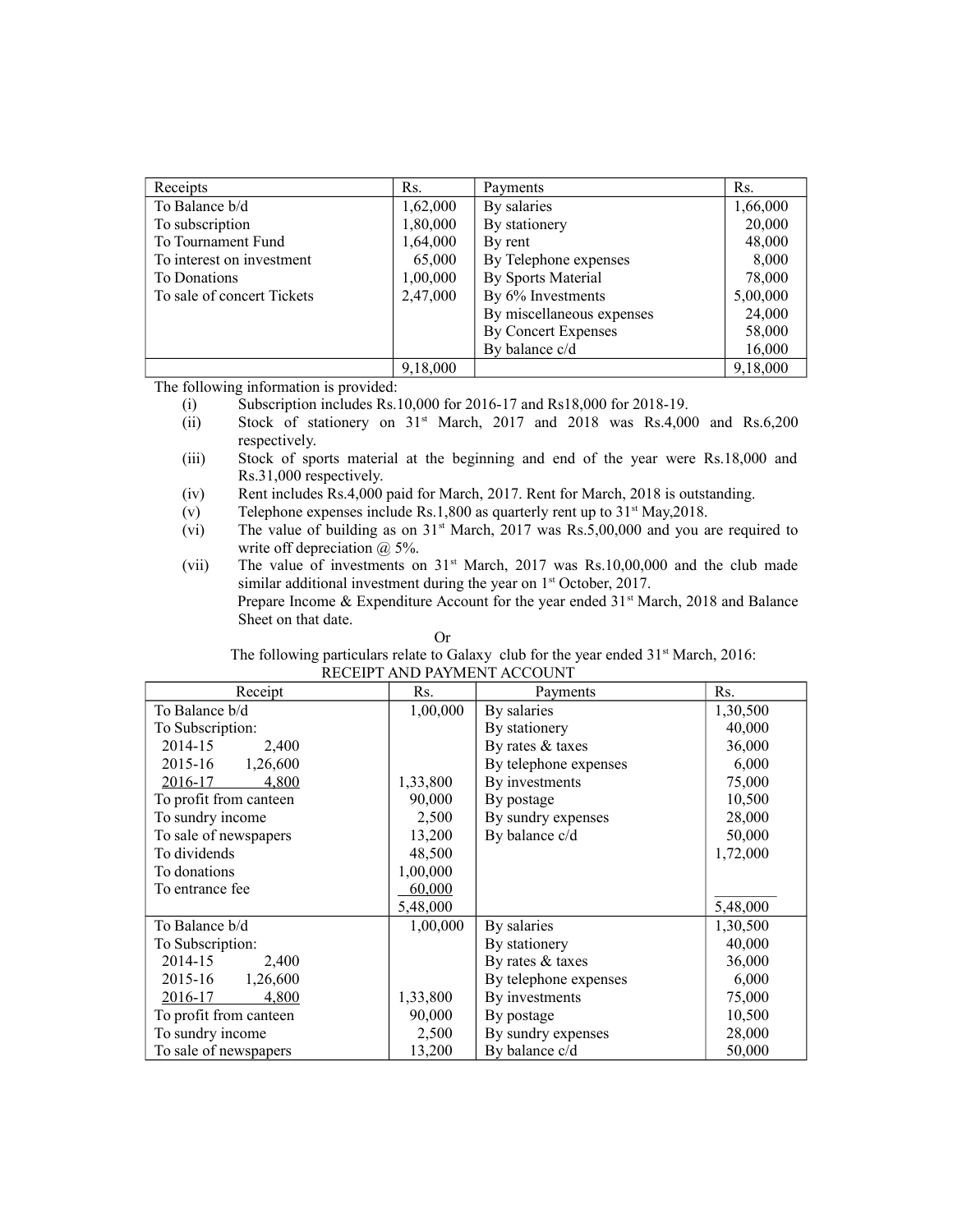| Receipts                   | Rs.      | Payments                  | Rs.      |
|----------------------------|----------|---------------------------|----------|
| To Balance b/d             | 1,62,000 | By salaries               | 1,66,000 |
| To subscription            | 1,80,000 | By stationery             | 20,000   |
| To Tournament Fund         | 1,64,000 | By rent                   | 48,000   |
| To interest on investment  | 65,000   | By Telephone expenses     | 8,000    |
| To Donations               | 1,00,000 | By Sports Material        | 78,000   |
| To sale of concert Tickets | 2,47,000 | By 6% Investments         | 5,00,000 |
|                            |          | By miscellaneous expenses | 24,000   |
|                            |          | By Concert Expenses       | 58,000   |
|                            |          | By balance c/d            | 16,000   |
|                            | 9,18,000 |                           | 9,18,000 |

The following information is provided:

(i) Subscription includes Rs.10,000 for 2016-17 and Rs18,000 for 2018-19.

- (ii) Stock of stationery on  $31<sup>st</sup>$  March, 2017 and 2018 was Rs.4,000 and Rs.6,200 respectively.
- (iii) Stock of sports material at the beginning and end of the year were Rs.18,000 and Rs.31,000 respectively.
- (iv) Rent includes Rs.4,000 paid for March, 2017. Rent for March, 2018 is outstanding.
- $(v)$  Telephone expenses include Rs.1,800 as quarterly rent up to 31<sup>st</sup> May,2018.
- (vi) The value of building as on  $31<sup>st</sup>$  March, 2017 was Rs.5,00,000 and you are required to write off depreciation  $(a)$  5%.

(vii) The value of investments on  $31<sup>st</sup>$  March, 2017 was Rs.10,00,000 and the club made similar additional investment during the year on 1<sup>st</sup> October, 2017. Prepare Income  $&$  Expenditure Account for the year ended  $31<sup>st</sup>$  March, 2018 and Balance Sheet on that date.

| The following particulars relate to Galaxy club for the year ended $31st March$ , 2016: |
|-----------------------------------------------------------------------------------------|
| RECEIPT AND PAYMENT ACCOUNT                                                             |

| Receipt                | Rs.      | Payments              | Rs.      |
|------------------------|----------|-----------------------|----------|
| To Balance b/d         | 1,00,000 | By salaries           | 1,30,500 |
| To Subscription:       |          | By stationery         | 40,000   |
| 2014-15<br>2,400       |          | By rates & taxes      | 36,000   |
| 2015-16<br>1,26,600    |          | By telephone expenses | 6,000    |
| 2016-17<br>4,800       | 1,33,800 | By investments        | 75,000   |
| To profit from canteen | 90,000   | By postage            | 10,500   |
| To sundry income       | 2,500    | By sundry expenses    | 28,000   |
| To sale of newspapers  | 13,200   | By balance c/d        | 50,000   |
| To dividends           | 48,500   |                       | 1,72,000 |
| To donations           | 1,00,000 |                       |          |
| To entrance fee        | 60,000   |                       |          |
|                        | 5,48,000 |                       | 5,48,000 |
| To Balance b/d         | 1,00,000 | By salaries           | 1,30,500 |
| To Subscription:       |          | By stationery         | 40,000   |
| 2014-15<br>2,400       |          | By rates & taxes      | 36,000   |
| 1,26,600<br>2015-16    |          | By telephone expenses | 6,000    |
| 2016-17<br>4,800       | 1,33,800 | By investments        | 75,000   |
| To profit from canteen | 90,000   | By postage            | 10,500   |
| To sundry income       | 2,500    | By sundry expenses    | 28,000   |
| To sale of newspapers  | 13,200   | By balance c/d        | 50,000   |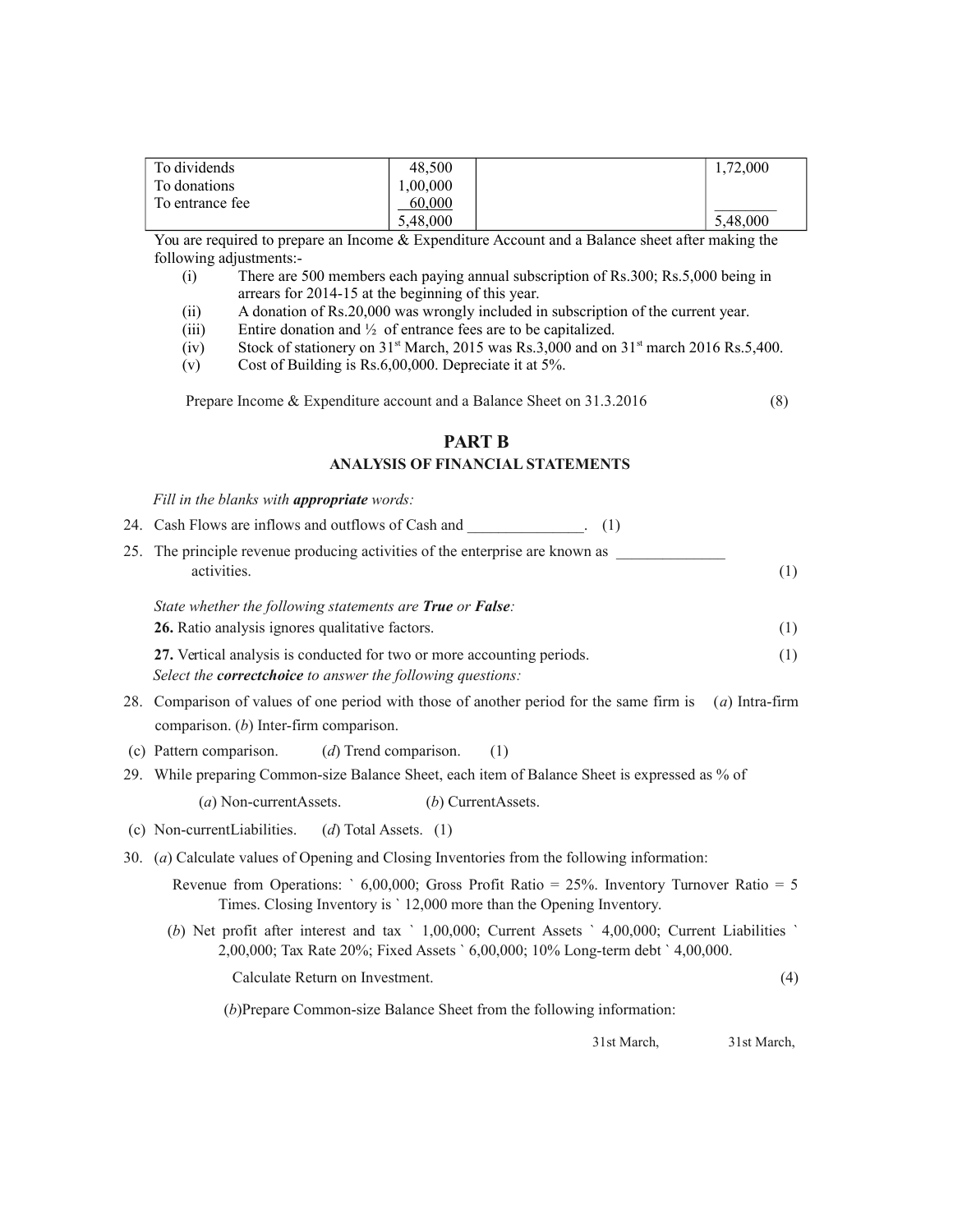| To dividends    | 48.500   | 1,72,000 |
|-----------------|----------|----------|
| To donations    | 1,00,000 |          |
| To entrance fee | 60,000   |          |
|                 | 5,48,000 | 5,48,000 |

You are required to prepare an Income & Expenditure Account and a Balance sheet after making the following adjustments:-

- (i) There are 500 members each paying annual subscription of Rs.300; Rs.5,000 being in arrears for 2014-15 at the beginning of this year.
- (ii) A donation of Rs.20,000 was wrongly included in subscription of the current year.
- (iii) Entire donation and ½ of entrance fees are to be capitalized.
- (iv) Stock of stationery on  $31<sup>st</sup>$  March, 2015 was Rs.3,000 and on  $31<sup>st</sup>$  march 2016 Rs.5,400.
- (v) Cost of Building is Rs.6,00,000. Depreciate it at 5%.

Prepare Income & Expenditure account and a Balance Sheet on 31.3.2016 (8)

#### **PART B**

#### **ANALYSIS OF FINANCIAL STATEMENTS**

*Fill in the blanks with appropriate words:* 24. Cash Flows are inflows and outflows of Cash and  $(1)$ 

| $\mathcal{L}$ $\pi$ . Cash I fows are inflows and outflows of Cash and                       |     |
|----------------------------------------------------------------------------------------------|-----|
| 25. The principle revenue producing activities of the enterprise are known as<br>activities. | (1) |
| State whether the following statements are <b>True</b> or <b>False</b> :                     |     |
| 26. Ratio analysis ignores qualitative factors.                                              | (1) |
| 27. Vertical analysis is conducted for two or more accounting periods.                       |     |

*Select the correctchoice to answer the following questions:*

- 28. Comparison of values of one period with those of another period for the same firm is (*a*) Intra-firm comparison. (*b*) Inter-firm comparison.
- (c) Pattern comparison. (*d*) Trend comparison. (1)
- 29. While preparing Common-size Balance Sheet, each item of Balance Sheet is expressed as % of

(*a*) Non-currentAssets. (*b*) CurrentAssets.

- (c) Non-currentLiabilities. (*d*) Total Assets. (1)
- 30. (*a*) Calculate values of Opening and Closing Inventories from the following information:
	- Revenue from Operations: ` 6,00,000; Gross Profit Ratio = 25%. Inventory Turnover Ratio = 5 Times. Closing Inventory is ` 12,000 more than the Opening Inventory.
	- (*b*) Net profit after interest and tax ` 1,00,000; Current Assets ` 4,00,000; Current Liabilities ` 2,00,000; Tax Rate 20%; Fixed Assets ` 6,00,000; 10% Long-term debt ` 4,00,000.

Calculate Return on Investment. (4)

(*b*)Prepare Common-size Balance Sheet from the following information:

31st March, 31st March,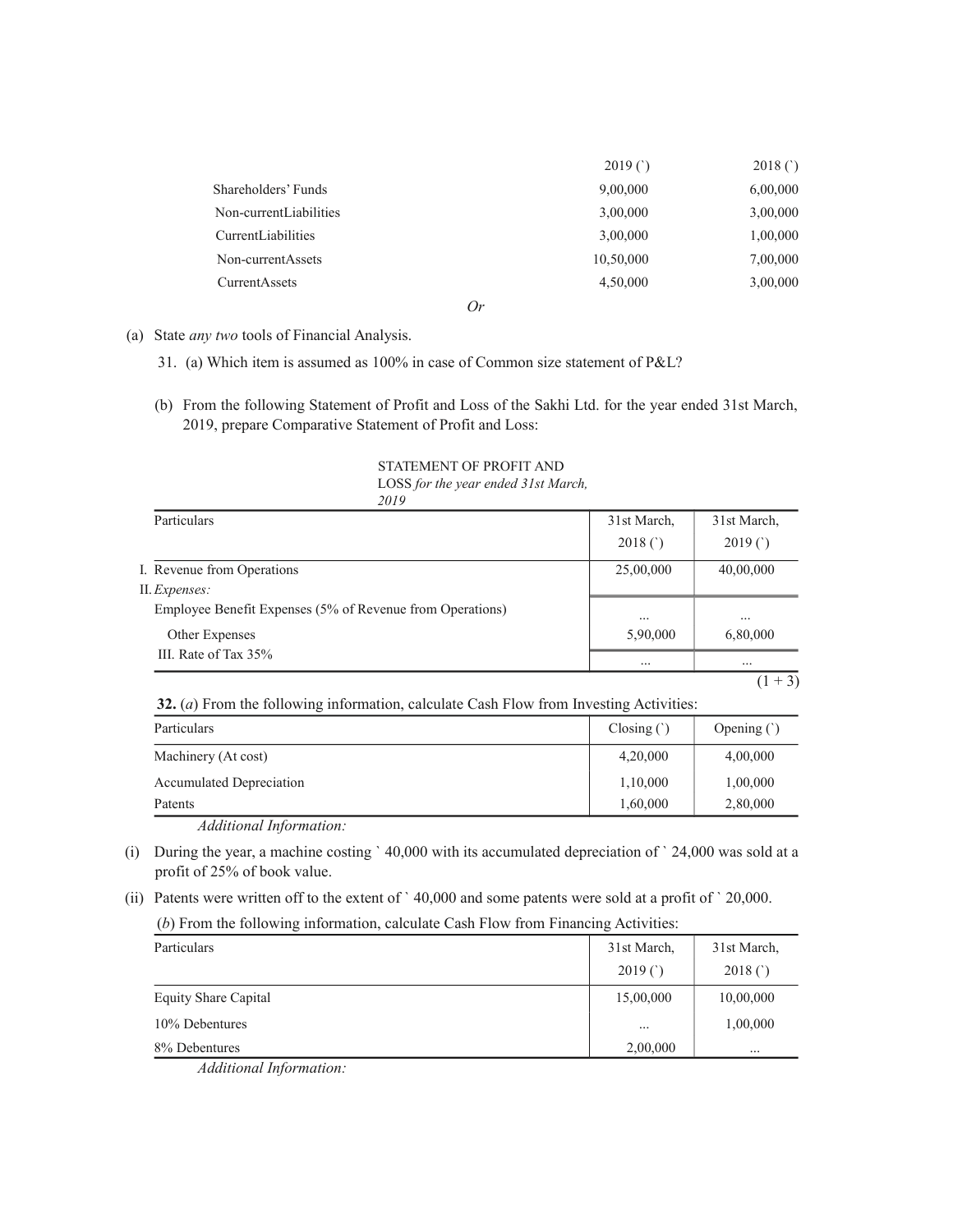|                        | 2019()    | 2018()   |
|------------------------|-----------|----------|
| Shareholders' Funds    | 9,00,000  | 6,00,000 |
| Non-currentLiabilities | 3,00,000  | 3,00,000 |
| CurrentLiabilities     | 3,00,000  | 1,00,000 |
| Non-currentAssets      | 10,50,000 | 7,00,000 |
| CurrentAssets          | 4,50,000  | 3,00,000 |
|                        | $\sim$    |          |

*Or*

- (a) State *any two* tools of Financial Analysis.
	- 31. (a) Which item is assumed as 100% in case of Common size statement of P&L?
	- (b) From the following Statement of Profit and Loss of the Sakhi Ltd. for the year ended 31st March, 2019, prepare Comparative Statement of Profit and Loss:

#### STATEMENT OF PROFIT AND LOSS *for the year ended 31st March, 2019*

| Particulars                                                                | 31st March, | 31st March,        |
|----------------------------------------------------------------------------|-------------|--------------------|
|                                                                            | 2018()      | 2019(              |
| I. Revenue from Operations                                                 | 25,00,000   | 40,00,000          |
| II. Expenses:<br>Employee Benefit Expenses (5% of Revenue from Operations) | $\cdots$    | $\cdots$           |
| Other Expenses                                                             | 5,90,000    | 6,80,000           |
| III. Rate of Tax 35%                                                       | $\cdots$    | $\cdots$<br>(1, 1) |

 $(1 + 3)$ 

 **32.** (*a*) From the following information, calculate Cash Flow from Investing Activities:

| Particulars              | $\text{Closing}(\dot{\theta})$ | Opening $($ ) |
|--------------------------|--------------------------------|---------------|
| Machinery (At cost)      | 4,20,000                       | 4,00,000      |
| Accumulated Depreciation | 1,10,000                       | 1,00,000      |
| Patents                  | 1,60,000                       | 2,80,000      |

*Additional Information:*

- (i) During the year, a machine costing ` 40,000 with its accumulated depreciation of ` 24,000 was sold at a profit of 25% of book value.
- (ii) Patents were written off to the extent of ` 40,000 and some patents were sold at a profit of ` 20,000.

(*b*) From the following information, calculate Cash Flow from Financing Activities:

| Particulars          | 31st March, | 31st March, |
|----------------------|-------------|-------------|
|                      | 2019()      | 2018(       |
| Equity Share Capital | 15,00,000   | 10,00,000   |
| 10% Debentures       | $\cdots$    | 1,00,000    |
| 8% Debentures        | 2,00,000    | $\cdots$    |

*Additional Information:*